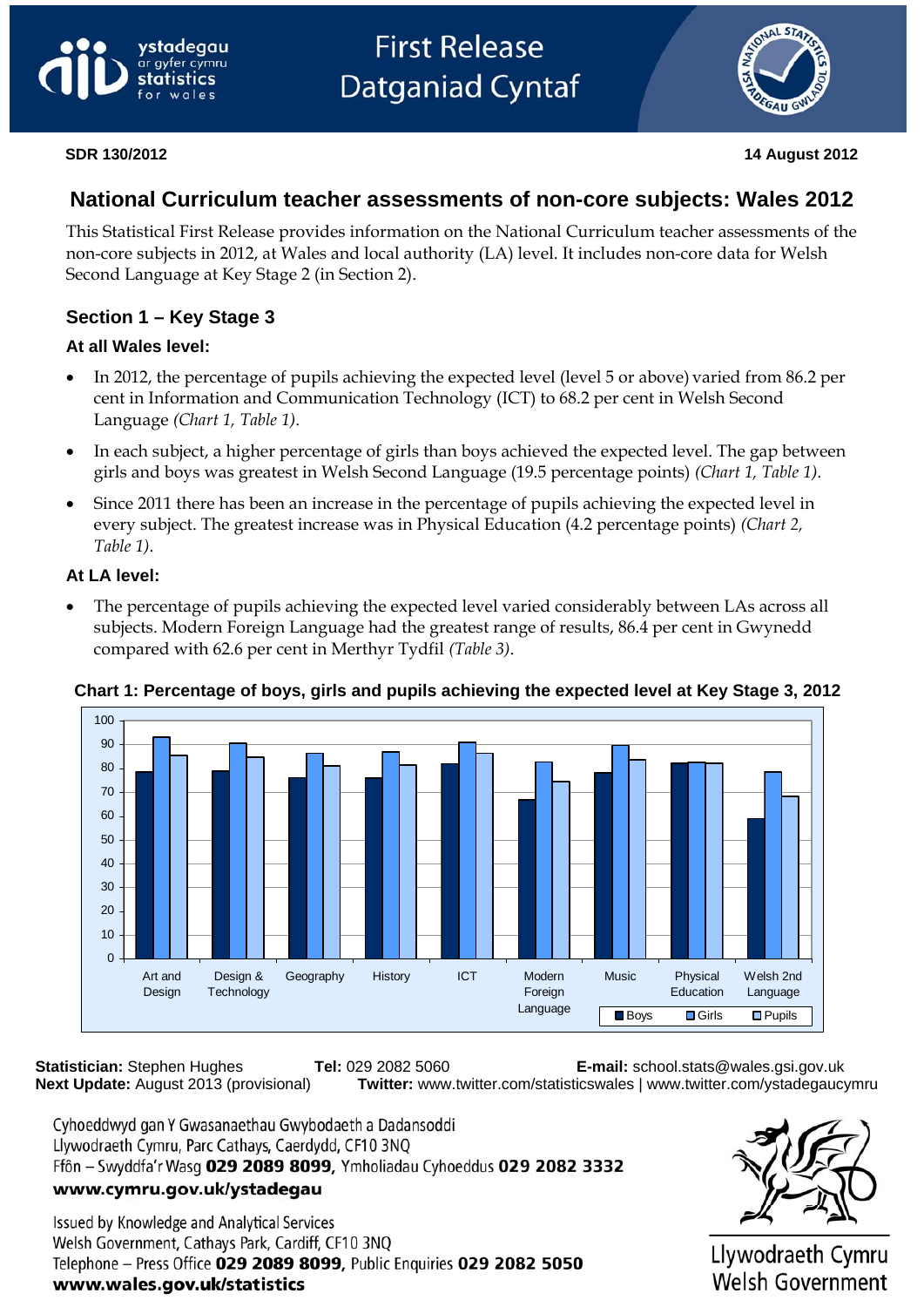# ystadegau ar gyfer cymru statistics

# **First Release Datganiad Cyntaf**



**SDR 130/2012 14 August 2012** 

# **National Curriculum teacher assessments of non-core subjects: Wales 2012**

This Statistical First Release provides information on the National Curriculum teacher assessments of the non-core subjects in 2012, at Wales and local authority (LA) level. It includes non-core data for Welsh Second Language at Key Stage 2 (in Section 2).

## **Section 1 – Key Stage 3**

### **At all Wales level:**

- In 2012, the percentage of pupils achieving the expected level (level 5 or above) varied from 86.2 per cent in Information and Communication Technology (ICT) to 68.2 per cent in Welsh Second Language *(Chart 1, Table 1)*.
- In each subject, a higher percentage of girls than boys achieved the expected level. The gap between girls and boys was greatest in Welsh Second Language (19.5 percentage points) *(Chart 1, Table 1)*.
- Since 2011 there has been an increase in the percentage of pupils achieving the expected level in every subject. The greatest increase was in Physical Education (4.2 percentage points) *(Chart 2, Table 1)*.

### **At LA level:**

• The percentage of pupils achieving the expected level varied considerably between LAs across all subjects. Modern Foreign Language had the greatest range of results, 86.4 per cent in Gwynedd compared with 62.6 per cent in Merthyr Tydfil *(Table 3)*.



### **Chart 1: Percentage of boys, girls and pupils achieving the expected level at Key Stage 3, 2012**

**Statistician:** Stephen Hughes **Tel:** 029 2082 5060 **E-mail:** school.stats@wales.gsi.gov.uk **Next Update:** August 2013 (provisional) **Twitter:** www.twitter.com/statisticswales | www.twitter.com/ystadegaucymru

Cyhoeddwyd gan Y Gwasanaethau Gwybodaeth a Dadansoddi Llywodraeth Cymru, Parc Cathays, Caerdydd, CF10 3NQ Ffôn - Swyddfa'r Wasg 029 2089 8099, Ymholiadau Cyhoeddus 029 2082 3332 www.cymru.gov.uk/ystadegau

Issued by Knowledge and Analytical Services Welsh Government, Cathays Park, Cardiff, CF10 3NQ Telephone - Press Office 029 2089 8099, Public Enquiries 029 2082 5050 www.wales.gov.uk/statistics



Llywodraeth Cymru Welsh Government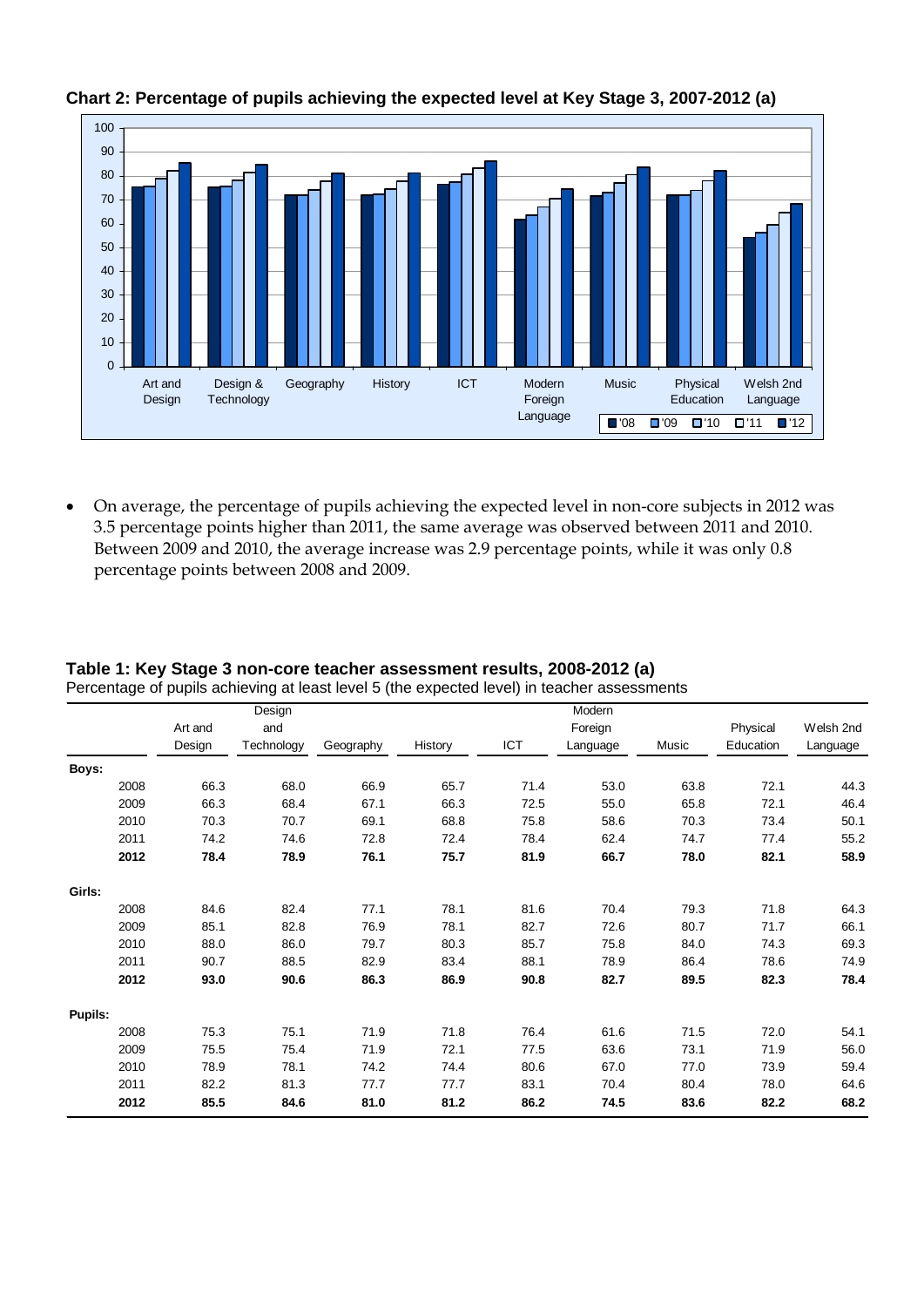

#### **Chart 2: Percentage of pupils achieving the expected level at Key Stage 3, 2007-2012 (a)**

• On average, the percentage of pupils achieving the expected level in non-core subjects in 2012 was 3.5 percentage points higher than 2011, the same average was observed between 2011 and 2010. Between 2009 and 2010, the average increase was 2.9 percentage points, while it was only 0.8 percentage points between 2008 and 2009.

|         |         | Design     |           |         |      | Modern   |       |           |           |
|---------|---------|------------|-----------|---------|------|----------|-------|-----------|-----------|
|         | Art and | and        |           |         |      | Foreign  |       | Physical  | Welsh 2nd |
|         | Design  | Technology | Geography | History | ICT  | Language | Music | Education | Language  |
| Boys:   |         |            |           |         |      |          |       |           |           |
| 2008    | 66.3    | 68.0       | 66.9      | 65.7    | 71.4 | 53.0     | 63.8  | 72.1      | 44.3      |
| 2009    | 66.3    | 68.4       | 67.1      | 66.3    | 72.5 | 55.0     | 65.8  | 72.1      | 46.4      |
| 2010    | 70.3    | 70.7       | 69.1      | 68.8    | 75.8 | 58.6     | 70.3  | 73.4      | 50.1      |
| 2011    | 74.2    | 74.6       | 72.8      | 72.4    | 78.4 | 62.4     | 74.7  | 77.4      | 55.2      |
| 2012    | 78.4    | 78.9       | 76.1      | 75.7    | 81.9 | 66.7     | 78.0  | 82.1      | 58.9      |
| Girls:  |         |            |           |         |      |          |       |           |           |
| 2008    | 84.6    | 82.4       | 77.1      | 78.1    | 81.6 | 70.4     | 79.3  | 71.8      | 64.3      |
| 2009    | 85.1    | 82.8       | 76.9      | 78.1    | 82.7 | 72.6     | 80.7  | 71.7      | 66.1      |
| 2010    | 88.0    | 86.0       | 79.7      | 80.3    | 85.7 | 75.8     | 84.0  | 74.3      | 69.3      |
| 2011    | 90.7    | 88.5       | 82.9      | 83.4    | 88.1 | 78.9     | 86.4  | 78.6      | 74.9      |
| 2012    | 93.0    | 90.6       | 86.3      | 86.9    | 90.8 | 82.7     | 89.5  | 82.3      | 78.4      |
| Pupils: |         |            |           |         |      |          |       |           |           |
| 2008    | 75.3    | 75.1       | 71.9      | 71.8    | 76.4 | 61.6     | 71.5  | 72.0      | 54.1      |
| 2009    | 75.5    | 75.4       | 71.9      | 72.1    | 77.5 | 63.6     | 73.1  | 71.9      | 56.0      |
| 2010    | 78.9    | 78.1       | 74.2      | 74.4    | 80.6 | 67.0     | 77.0  | 73.9      | 59.4      |
| 2011    | 82.2    | 81.3       | 77.7      | 77.7    | 83.1 | 70.4     | 80.4  | 78.0      | 64.6      |
| 2012    | 85.5    | 84.6       | 81.0      | 81.2    | 86.2 | 74.5     | 83.6  | 82.2      | 68.2      |

#### **Table 1: Key Stage 3 non-core teacher assessment results, 2008-2012 (a)**  Percentage of pupils achieving at least level 5 (the expected level) in teacher assessments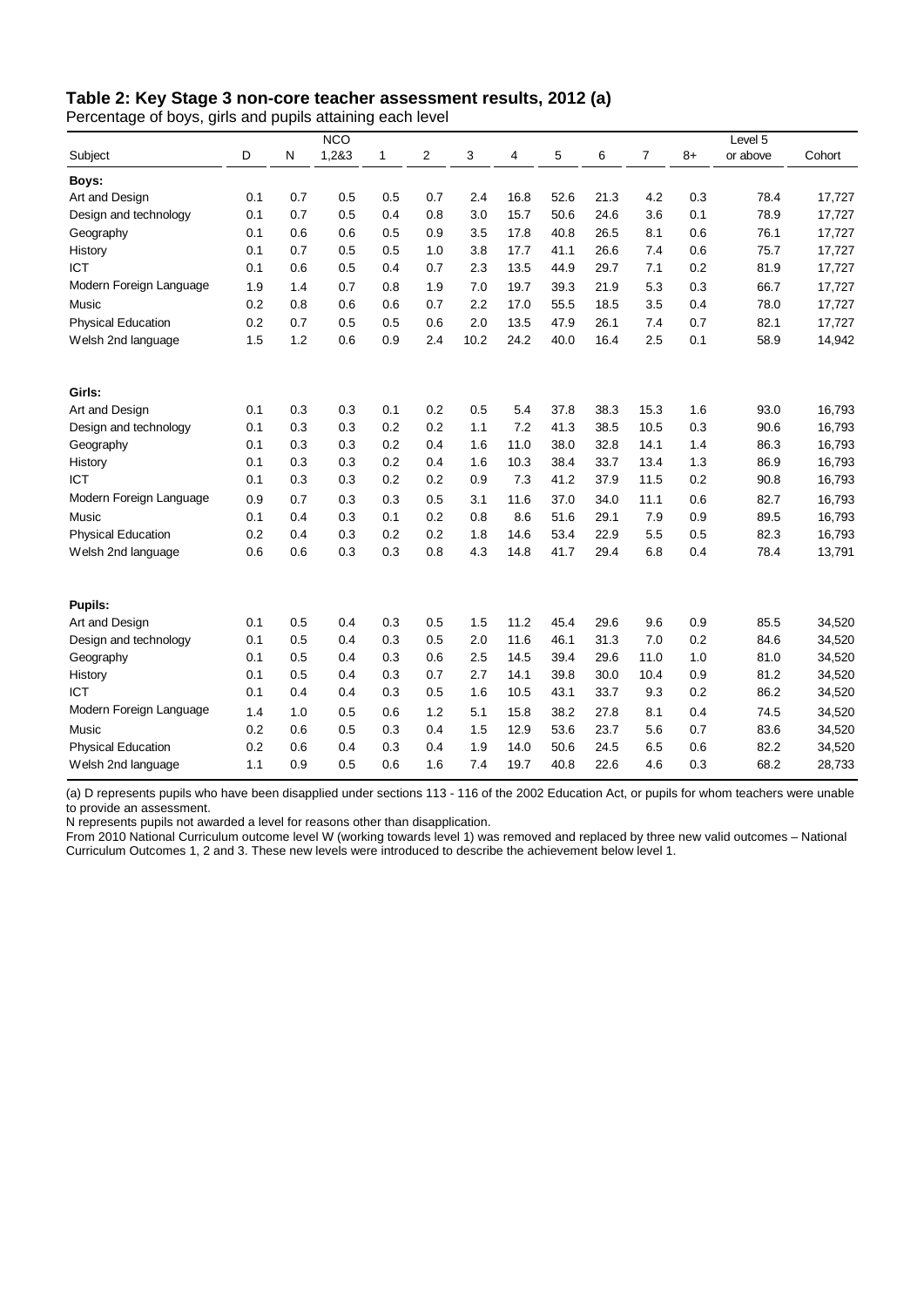#### **Table 2: Key Stage 3 non-core teacher assessment results, 2012 (a)**

Percentage of boys, girls and pupils attaining each level

|                           |     |     | <b>NCO</b> |              |     |      |      |      |      |                |      | Level 5  |        |
|---------------------------|-----|-----|------------|--------------|-----|------|------|------|------|----------------|------|----------|--------|
| Subject                   | D   | N   | 1,2&3      | $\mathbf{1}$ | 2   | 3    | 4    | 5    | 6    | $\overline{7}$ | $8+$ | or above | Cohort |
| Boys:                     |     |     |            |              |     |      |      |      |      |                |      |          |        |
| Art and Design            | 0.1 | 0.7 | 0.5        | 0.5          | 0.7 | 2.4  | 16.8 | 52.6 | 21.3 | 4.2            | 0.3  | 78.4     | 17,727 |
| Design and technology     | 0.1 | 0.7 | 0.5        | 0.4          | 0.8 | 3.0  | 15.7 | 50.6 | 24.6 | 3.6            | 0.1  | 78.9     | 17,727 |
| Geography                 | 0.1 | 0.6 | 0.6        | 0.5          | 0.9 | 3.5  | 17.8 | 40.8 | 26.5 | 8.1            | 0.6  | 76.1     | 17,727 |
| History                   | 0.1 | 0.7 | 0.5        | 0.5          | 1.0 | 3.8  | 17.7 | 41.1 | 26.6 | 7.4            | 0.6  | 75.7     | 17,727 |
| <b>ICT</b>                | 0.1 | 0.6 | 0.5        | 0.4          | 0.7 | 2.3  | 13.5 | 44.9 | 29.7 | 7.1            | 0.2  | 81.9     | 17,727 |
| Modern Foreign Language   | 1.9 | 1.4 | 0.7        | 0.8          | 1.9 | 7.0  | 19.7 | 39.3 | 21.9 | 5.3            | 0.3  | 66.7     | 17,727 |
| Music                     | 0.2 | 0.8 | 0.6        | 0.6          | 0.7 | 2.2  | 17.0 | 55.5 | 18.5 | 3.5            | 0.4  | 78.0     | 17,727 |
| <b>Physical Education</b> | 0.2 | 0.7 | 0.5        | 0.5          | 0.6 | 2.0  | 13.5 | 47.9 | 26.1 | 7.4            | 0.7  | 82.1     | 17,727 |
| Welsh 2nd language        | 1.5 | 1.2 | 0.6        | 0.9          | 2.4 | 10.2 | 24.2 | 40.0 | 16.4 | 2.5            | 0.1  | 58.9     | 14,942 |
| Girls:                    |     |     |            |              |     |      |      |      |      |                |      |          |        |
| Art and Design            | 0.1 | 0.3 | 0.3        | 0.1          | 0.2 | 0.5  | 5.4  | 37.8 | 38.3 | 15.3           | 1.6  | 93.0     | 16,793 |
| Design and technology     | 0.1 | 0.3 | 0.3        | 0.2          | 0.2 | 1.1  | 7.2  | 41.3 | 38.5 | 10.5           | 0.3  | 90.6     | 16,793 |
| Geography                 | 0.1 | 0.3 | 0.3        | 0.2          | 0.4 | 1.6  | 11.0 | 38.0 | 32.8 | 14.1           | 1.4  | 86.3     | 16,793 |
| History                   | 0.1 | 0.3 | 0.3        | 0.2          | 0.4 | 1.6  | 10.3 | 38.4 | 33.7 | 13.4           | 1.3  | 86.9     | 16,793 |
| <b>ICT</b>                | 0.1 | 0.3 | 0.3        | 0.2          | 0.2 | 0.9  | 7.3  | 41.2 | 37.9 | 11.5           | 0.2  | 90.8     | 16,793 |
| Modern Foreign Language   | 0.9 | 0.7 | 0.3        | 0.3          | 0.5 | 3.1  | 11.6 | 37.0 | 34.0 | 11.1           | 0.6  | 82.7     | 16,793 |
| Music                     | 0.1 | 0.4 | 0.3        | 0.1          | 0.2 | 0.8  | 8.6  | 51.6 | 29.1 | 7.9            | 0.9  | 89.5     | 16,793 |
| <b>Physical Education</b> | 0.2 | 0.4 | 0.3        | 0.2          | 0.2 | 1.8  | 14.6 | 53.4 | 22.9 | 5.5            | 0.5  | 82.3     | 16,793 |
| Welsh 2nd language        | 0.6 | 0.6 | 0.3        | 0.3          | 0.8 | 4.3  | 14.8 | 41.7 | 29.4 | 6.8            | 0.4  | 78.4     | 13,791 |
| Pupils:                   |     |     |            |              |     |      |      |      |      |                |      |          |        |
| Art and Design            | 0.1 | 0.5 | 0.4        | 0.3          | 0.5 | 1.5  | 11.2 | 45.4 | 29.6 | 9.6            | 0.9  | 85.5     | 34,520 |
| Design and technology     | 0.1 | 0.5 | 0.4        | 0.3          | 0.5 | 2.0  | 11.6 | 46.1 | 31.3 | 7.0            | 0.2  | 84.6     | 34,520 |
| Geography                 | 0.1 | 0.5 | 0.4        | 0.3          | 0.6 | 2.5  | 14.5 | 39.4 | 29.6 | 11.0           | 1.0  | 81.0     | 34,520 |
| History                   | 0.1 | 0.5 | 0.4        | 0.3          | 0.7 | 2.7  | 14.1 | 39.8 | 30.0 | 10.4           | 0.9  | 81.2     | 34,520 |
| <b>ICT</b>                | 0.1 | 0.4 | 0.4        | 0.3          | 0.5 | 1.6  | 10.5 | 43.1 | 33.7 | 9.3            | 0.2  | 86.2     | 34,520 |
| Modern Foreign Language   | 1.4 | 1.0 | 0.5        | 0.6          | 1.2 | 5.1  | 15.8 | 38.2 | 27.8 | 8.1            | 0.4  | 74.5     | 34,520 |
| Music                     | 0.2 | 0.6 | 0.5        | 0.3          | 0.4 | 1.5  | 12.9 | 53.6 | 23.7 | 5.6            | 0.7  | 83.6     | 34,520 |
| <b>Physical Education</b> | 0.2 | 0.6 | 0.4        | 0.3          | 0.4 | 1.9  | 14.0 | 50.6 | 24.5 | 6.5            | 0.6  | 82.2     | 34,520 |
| Welsh 2nd language        | 1.1 | 0.9 | 0.5        | 0.6          | 1.6 | 7.4  | 19.7 | 40.8 | 22.6 | 4.6            | 0.3  | 68.2     | 28,733 |

(a) D represents pupils who have been disapplied under sections 113 - 116 of the 2002 Education Act, or pupils for whom teachers were unable to provide an assessment.

N represents pupils not awarded a level for reasons other than disapplication.

From 2010 National Curriculum outcome level W (working towards level 1) was removed and replaced by three new valid outcomes – National Curriculum Outcomes 1, 2 and 3. These new levels were introduced to describe the achievement below level 1.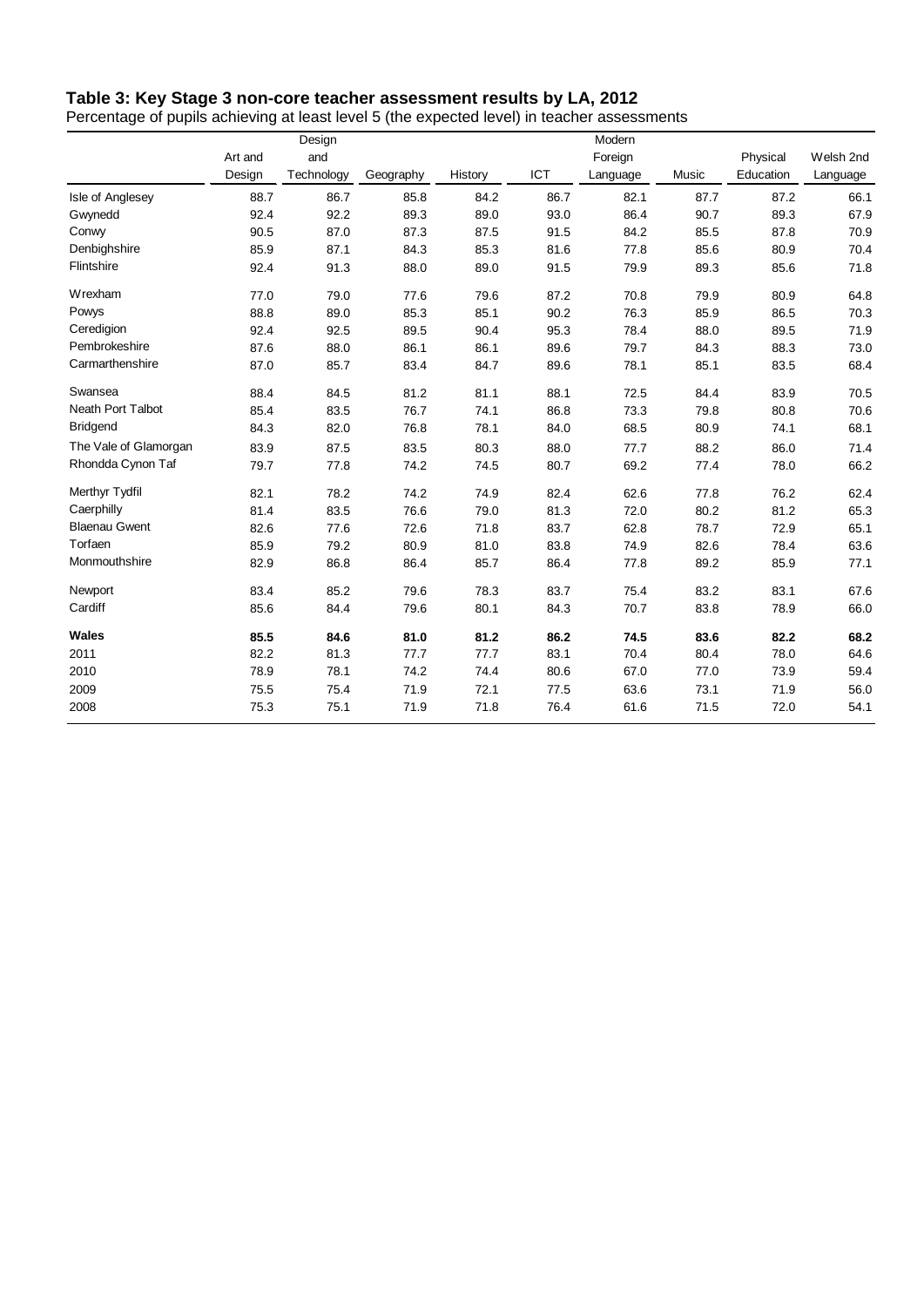#### **Table 3: Key Stage 3 non-core teacher assessment results by LA, 2012**

Percentage of pupils achieving at least level 5 (the expected level) in teacher assessments

|                       |         | Design     |           |         |      | Modern   |       |           |           |
|-----------------------|---------|------------|-----------|---------|------|----------|-------|-----------|-----------|
|                       | Art and | and        |           |         |      | Foreign  |       | Physical  | Welsh 2nd |
|                       | Design  | Technology | Geography | History | ICT  | Language | Music | Education | Language  |
| Isle of Anglesey      | 88.7    | 86.7       | 85.8      | 84.2    | 86.7 | 82.1     | 87.7  | 87.2      | 66.1      |
| Gwynedd               | 92.4    | 92.2       | 89.3      | 89.0    | 93.0 | 86.4     | 90.7  | 89.3      | 67.9      |
| Conwy                 | 90.5    | 87.0       | 87.3      | 87.5    | 91.5 | 84.2     | 85.5  | 87.8      | 70.9      |
| Denbighshire          | 85.9    | 87.1       | 84.3      | 85.3    | 81.6 | 77.8     | 85.6  | 80.9      | 70.4      |
| Flintshire            | 92.4    | 91.3       | 88.0      | 89.0    | 91.5 | 79.9     | 89.3  | 85.6      | 71.8      |
| Wrexham               | 77.0    | 79.0       | 77.6      | 79.6    | 87.2 | 70.8     | 79.9  | 80.9      | 64.8      |
| Powys                 | 88.8    | 89.0       | 85.3      | 85.1    | 90.2 | 76.3     | 85.9  | 86.5      | 70.3      |
| Ceredigion            | 92.4    | 92.5       | 89.5      | 90.4    | 95.3 | 78.4     | 88.0  | 89.5      | 71.9      |
| Pembrokeshire         | 87.6    | 88.0       | 86.1      | 86.1    | 89.6 | 79.7     | 84.3  | 88.3      | 73.0      |
| Carmarthenshire       | 87.0    | 85.7       | 83.4      | 84.7    | 89.6 | 78.1     | 85.1  | 83.5      | 68.4      |
| Swansea               | 88.4    | 84.5       | 81.2      | 81.1    | 88.1 | 72.5     | 84.4  | 83.9      | 70.5      |
| Neath Port Talbot     | 85.4    | 83.5       | 76.7      | 74.1    | 86.8 | 73.3     | 79.8  | 80.8      | 70.6      |
| <b>Bridgend</b>       | 84.3    | 82.0       | 76.8      | 78.1    | 84.0 | 68.5     | 80.9  | 74.1      | 68.1      |
| The Vale of Glamorgan | 83.9    | 87.5       | 83.5      | 80.3    | 88.0 | 77.7     | 88.2  | 86.0      | 71.4      |
| Rhondda Cynon Taf     | 79.7    | 77.8       | 74.2      | 74.5    | 80.7 | 69.2     | 77.4  | 78.0      | 66.2      |
| Merthyr Tydfil        | 82.1    | 78.2       | 74.2      | 74.9    | 82.4 | 62.6     | 77.8  | 76.2      | 62.4      |
| Caerphilly            | 81.4    | 83.5       | 76.6      | 79.0    | 81.3 | 72.0     | 80.2  | 81.2      | 65.3      |
| <b>Blaenau Gwent</b>  | 82.6    | 77.6       | 72.6      | 71.8    | 83.7 | 62.8     | 78.7  | 72.9      | 65.1      |
| Torfaen               | 85.9    | 79.2       | 80.9      | 81.0    | 83.8 | 74.9     | 82.6  | 78.4      | 63.6      |
| Monmouthshire         | 82.9    | 86.8       | 86.4      | 85.7    | 86.4 | 77.8     | 89.2  | 85.9      | 77.1      |
| Newport               | 83.4    | 85.2       | 79.6      | 78.3    | 83.7 | 75.4     | 83.2  | 83.1      | 67.6      |
| Cardiff               | 85.6    | 84.4       | 79.6      | 80.1    | 84.3 | 70.7     | 83.8  | 78.9      | 66.0      |
| Wales                 | 85.5    | 84.6       | 81.0      | 81.2    | 86.2 | 74.5     | 83.6  | 82.2      | 68.2      |
| 2011                  | 82.2    | 81.3       | 77.7      | 77.7    | 83.1 | 70.4     | 80.4  | 78.0      | 64.6      |
| 2010                  | 78.9    | 78.1       | 74.2      | 74.4    | 80.6 | 67.0     | 77.0  | 73.9      | 59.4      |
| 2009                  | 75.5    | 75.4       | 71.9      | 72.1    | 77.5 | 63.6     | 73.1  | 71.9      | 56.0      |
| 2008                  | 75.3    | 75.1       | 71.9      | 71.8    | 76.4 | 61.6     | 71.5  | 72.0      | 54.1      |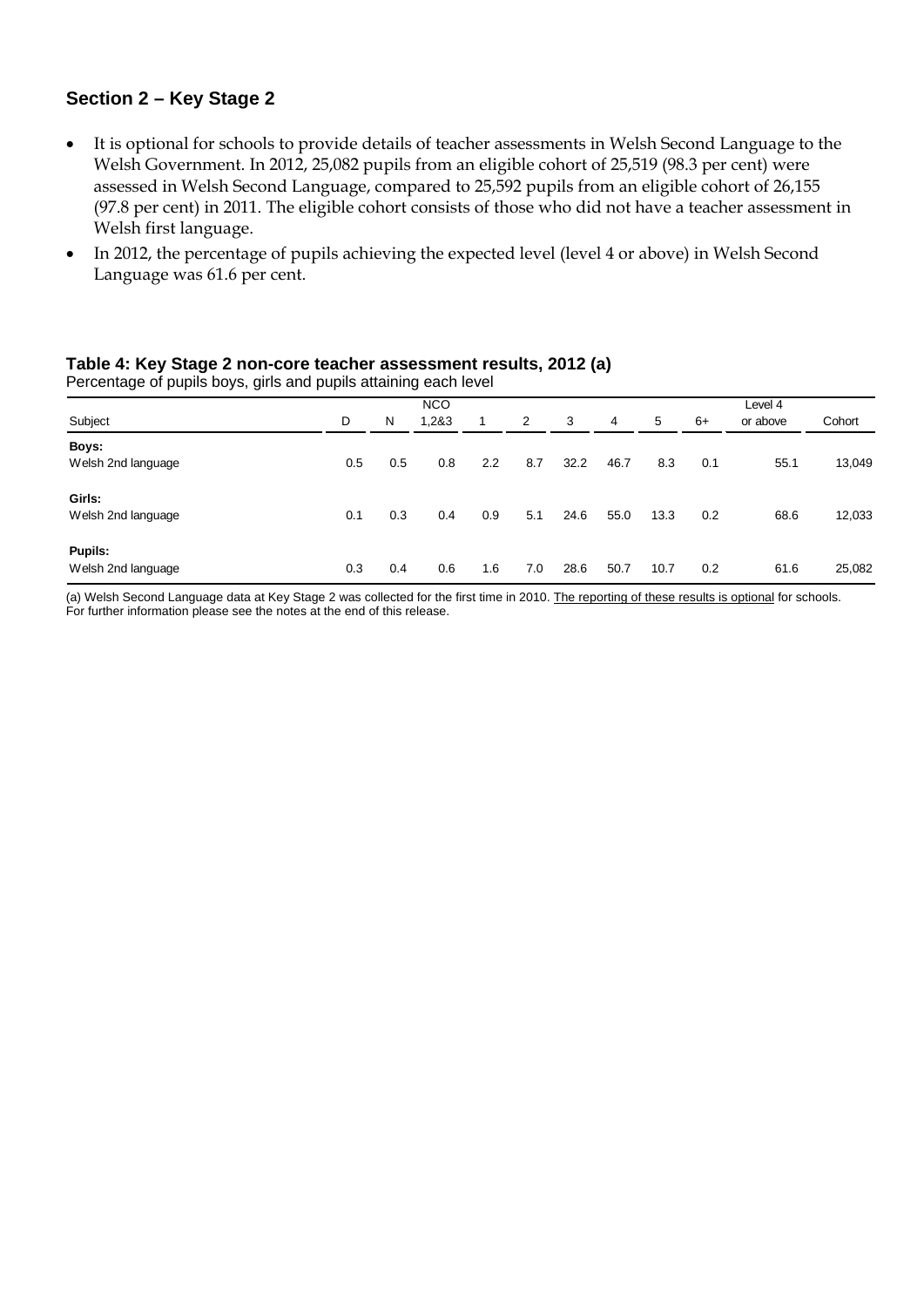#### **Section 2 – Key Stage 2**

- It is optional for schools to provide details of teacher assessments in Welsh Second Language to the Welsh Government. In 2012, 25,082 pupils from an eligible cohort of 25,519 (98.3 per cent) were assessed in Welsh Second Language, compared to 25,592 pupils from an eligible cohort of 26,155 (97.8 per cent) in 2011. The eligible cohort consists of those who did not have a teacher assessment in Welsh first language.
- In 2012, the percentage of pupils achieving the expected level (level 4 or above) in Welsh Second Language was 61.6 per cent.

#### **Table 4: Key Stage 2 non-core teacher assessment results, 2012 (a)**

Percentage of pupils boys, girls and pupils attaining each level

| Subject                       | D   | N   | <b>NCO</b><br>1.2&3 | 1   | 2   | 3    | 4    | 5    | 6+  | Level 4<br>or above | Cohort |
|-------------------------------|-----|-----|---------------------|-----|-----|------|------|------|-----|---------------------|--------|
| Boys:<br>Welsh 2nd language   | 0.5 | 0.5 | 0.8                 | 2.2 | 8.7 | 32.2 | 46.7 | 8.3  | 0.1 | 55.1                | 13,049 |
| Girls:<br>Welsh 2nd language  | 0.1 | 0.3 | 0.4                 | 0.9 | 5.1 | 24.6 | 55.0 | 13.3 | 0.2 | 68.6                | 12,033 |
| Pupils:<br>Welsh 2nd language | 0.3 | 0.4 | 0.6                 | 1.6 | 7.0 | 28.6 | 50.7 | 10.7 | 0.2 | 61.6                | 25,082 |

(a) Welsh Second Language data at Key Stage 2 was collected for the first time in 2010. The reporting of these results is optional for schools. For further information please see the notes at the end of this release.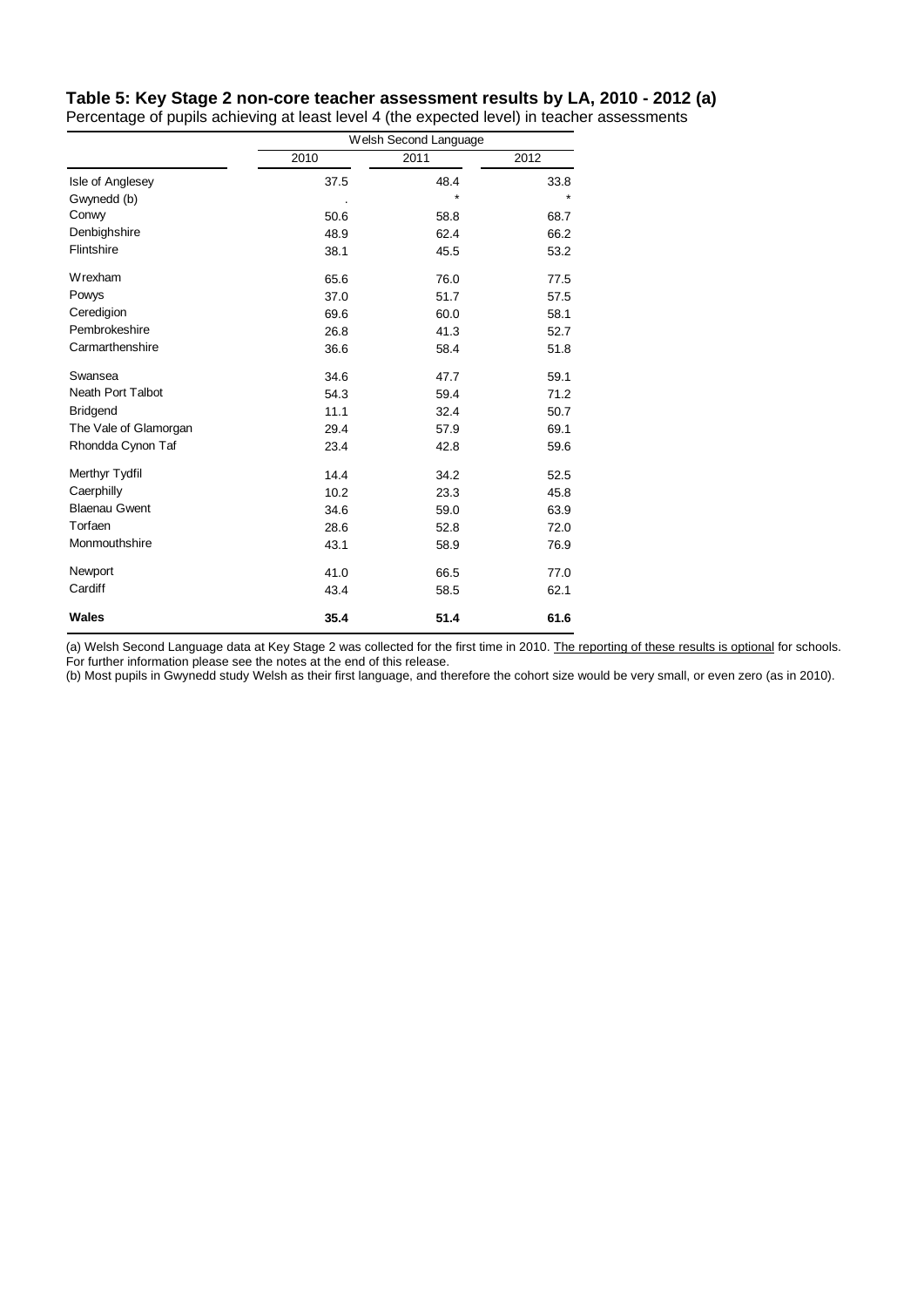#### **Table 5: Key Stage 2 non-core teacher assessment results by LA, 2010 - 2012 (a)**

Percentage of pupils achieving at least level 4 (the expected level) in teacher assessments

|                          | Welsh Second Language |      |      |  |
|--------------------------|-----------------------|------|------|--|
|                          | 2010                  | 2011 | 2012 |  |
| Isle of Anglesey         | 37.5                  | 48.4 | 33.8 |  |
| Gwynedd (b)              |                       | ÷    |      |  |
| Conwy                    | 50.6                  | 58.8 | 68.7 |  |
| Denbighshire             | 48.9                  | 62.4 | 66.2 |  |
| Flintshire               | 38.1                  | 45.5 | 53.2 |  |
| Wrexham                  | 65.6                  | 76.0 | 77.5 |  |
| Powys                    | 37.0                  | 51.7 | 57.5 |  |
| Ceredigion               | 69.6                  | 60.0 | 58.1 |  |
| Pembrokeshire            | 26.8                  | 41.3 | 52.7 |  |
| Carmarthenshire          | 36.6                  | 58.4 | 51.8 |  |
| Swansea                  | 34.6                  | 47.7 | 59.1 |  |
| <b>Neath Port Talbot</b> | 54.3                  | 59.4 | 71.2 |  |
| <b>Bridgend</b>          | 11.1                  | 32.4 | 50.7 |  |
| The Vale of Glamorgan    | 29.4                  | 57.9 | 69.1 |  |
| Rhondda Cynon Taf        | 23.4                  | 42.8 | 59.6 |  |
| Merthyr Tydfil           | 14.4                  | 34.2 | 52.5 |  |
| Caerphilly               | 10.2                  | 23.3 | 45.8 |  |
| <b>Blaenau Gwent</b>     | 34.6                  | 59.0 | 63.9 |  |
| Torfaen                  | 28.6                  | 52.8 | 72.0 |  |
| Monmouthshire            | 43.1                  | 58.9 | 76.9 |  |
| Newport                  | 41.0                  | 66.5 | 77.0 |  |
| Cardiff                  | 43.4                  | 58.5 | 62.1 |  |
| <b>Wales</b>             | 35.4                  | 51.4 | 61.6 |  |

(a) Welsh Second Language data at Key Stage 2 was collected for the first time in 2010. The reporting of these results is optional for schools. For further information please see the notes at the end of this release.

(b) Most pupils in Gwynedd study Welsh as their first language, and therefore the cohort size would be very small, or even zero (as in 2010).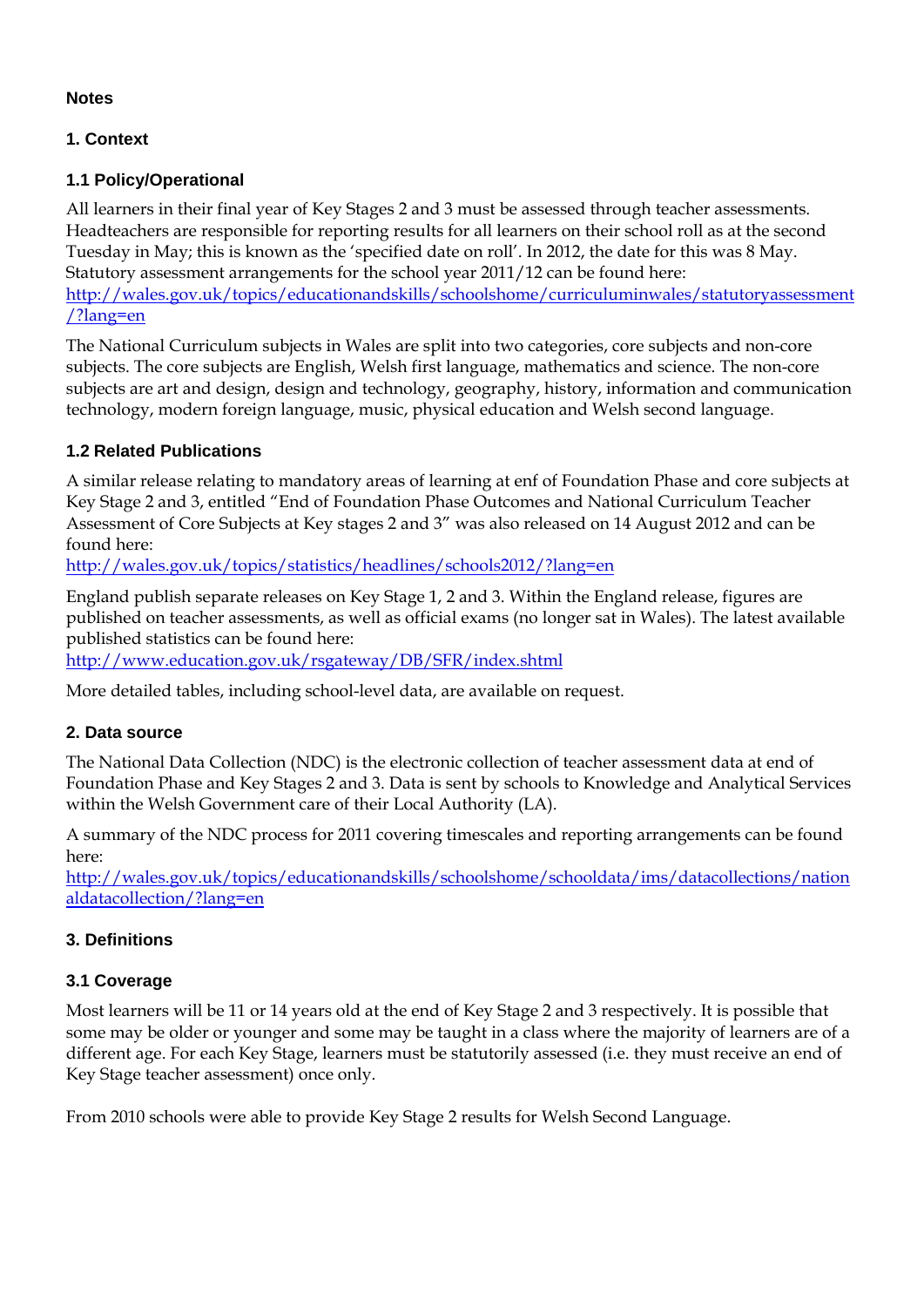#### **Notes**

#### **1. Context**

#### **1.1 Policy/Operational**

All learners in their final year of Key Stages 2 and 3 must be assessed through teacher assessments. Headteachers are responsible for reporting results for all learners on their school roll as at the second Tuesday in May; this is known as the 'specified date on roll'. In 2012, the date for this was 8 May. Statutory assessment arrangements for the school year 2011/12 can be found here: [http://wales.gov.uk/topics/educationandskills/schoolshome/curriculuminwales/statutoryassessment](http://wales.gov.uk/topics/educationandskills/schoolshome/curriculuminwales/statutoryassessment/?lang=en) [/?lang=en](http://wales.gov.uk/topics/educationandskills/schoolshome/curriculuminwales/statutoryassessment/?lang=en)

The National Curriculum subjects in Wales are split into two categories, core subjects and non-core subjects. The core subjects are English, Welsh first language, mathematics and science. The non-core subjects are art and design, design and technology, geography, history, information and communication technology, modern foreign language, music, physical education and Welsh second language.

#### **1.2 Related Publications**

A similar release relating to mandatory areas of learning at enf of Foundation Phase and core subjects at Key Stage 2 and 3, entitled "End of Foundation Phase Outcomes and National Curriculum Teacher Assessment of Core Subjects at Key stages 2 and 3" was also released on 14 August 2012 and can be found here:

<http://wales.gov.uk/topics/statistics/headlines/schools2012/?lang=en>

England publish separate releases on Key Stage 1, 2 and 3. Within the England release, figures are published on teacher assessments, as well as official exams (no longer sat in Wales). The latest available published statistics can be found here:

<http://www.education.gov.uk/rsgateway/DB/SFR/index.shtml>

More detailed tables, including school-level data, are available on request.

#### **2. Data source**

The National Data Collection (NDC) is the electronic collection of teacher assessment data at end of Foundation Phase and Key Stages 2 and 3. Data is sent by schools to Knowledge and Analytical Services within the Welsh Government care of their Local Authority (LA).

A summary of the NDC process for 2011 covering timescales and reporting arrangements can be found here:

[http://wales.gov.uk/topics/educationandskills/schoolshome/schooldata/ims/datacollections/nation](http://wales.gov.uk/topics/educationandskills/schoolshome/schooldata/ims/datacollections/nationaldatacollection/?lang=en) [aldatacollection/?lang=en](http://wales.gov.uk/topics/educationandskills/schoolshome/schooldata/ims/datacollections/nationaldatacollection/?lang=en)

#### **3. Definitions**

#### **3.1 Coverage**

Most learners will be 11 or 14 years old at the end of Key Stage 2 and 3 respectively. It is possible that some may be older or younger and some may be taught in a class where the majority of learners are of a different age. For each Key Stage, learners must be statutorily assessed (i.e. they must receive an end of Key Stage teacher assessment) once only.

From 2010 schools were able to provide Key Stage 2 results for Welsh Second Language.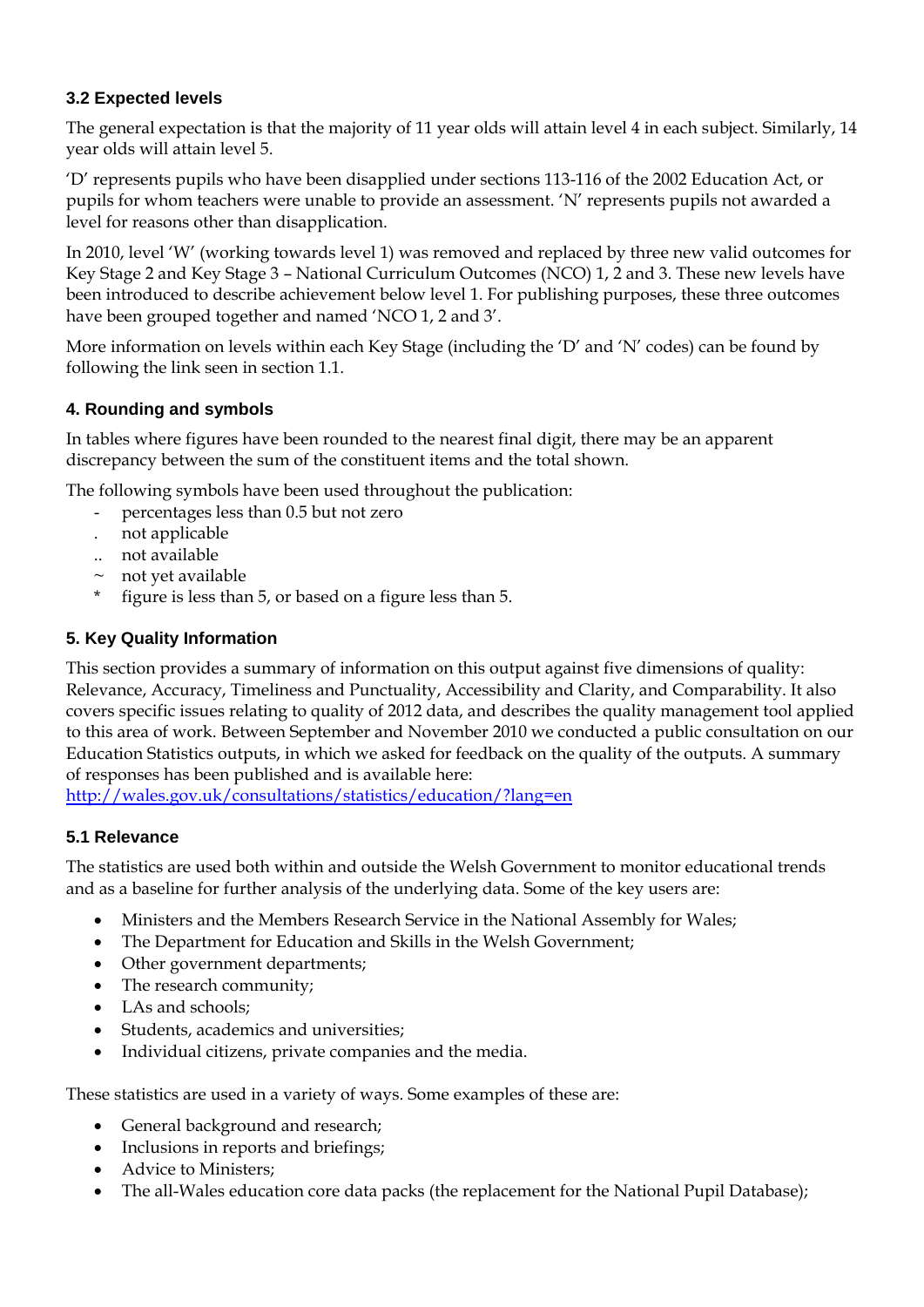#### **3.2 Expected levels**

The general expectation is that the majority of 11 year olds will attain level 4 in each subject. Similarly, 14 year olds will attain level 5.

'D' represents pupils who have been disapplied under sections 113-116 of the 2002 Education Act, or pupils for whom teachers were unable to provide an assessment. 'N' represents pupils not awarded a level for reasons other than disapplication.

In 2010, level 'W' (working towards level 1) was removed and replaced by three new valid outcomes for Key Stage 2 and Key Stage 3 – National Curriculum Outcomes (NCO) 1, 2 and 3. These new levels have been introduced to describe achievement below level 1. For publishing purposes, these three outcomes have been grouped together and named 'NCO 1, 2 and 3'.

More information on levels within each Key Stage (including the 'D' and 'N' codes) can be found by following the link seen in section 1.1.

#### **4. Rounding and symbols**

In tables where figures have been rounded to the nearest final digit, there may be an apparent discrepancy between the sum of the constituent items and the total shown.

The following symbols have been used throughout the publication:

- percentages less than 0.5 but not zero
- . not applicable
- .. not available
- $\sim$  not yet available
- \* figure is less than 5, or based on a figure less than 5.

### **5. Key Quality Information**

This section provides a summary of information on this output against five dimensions of quality: Relevance, Accuracy, Timeliness and Punctuality, Accessibility and Clarity, and Comparability. It also covers specific issues relating to quality of 2012 data, and describes the quality management tool applied to this area of work. Between September and November 2010 we conducted a public consultation on our Education Statistics outputs, in which we asked for feedback on the quality of the outputs. A summary of responses has been published and is available here:

<http://wales.gov.uk/consultations/statistics/education/?lang=en>

### **5.1 Relevance**

The statistics are used both within and outside the Welsh Government to monitor educational trends and as a baseline for further analysis of the underlying data. Some of the key users are:

- Ministers and the Members Research Service in the National Assembly for Wales;
- The Department for Education and Skills in the Welsh Government;
- Other government departments;
- The research community;
- LAs and schools:
- Students, academics and universities;
- Individual citizens, private companies and the media.

These statistics are used in a variety of ways. Some examples of these are:

- General background and research;
- Inclusions in reports and briefings;
- Advice to Ministers;
- The all-Wales education core data packs (the replacement for the National Pupil Database);